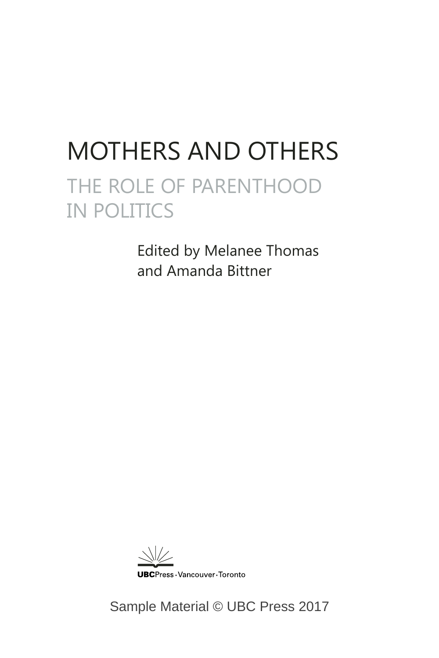## MOTHERS AND OTHERS THE ROLE OF PARENTHOOD IN POLITICS

Edited by Melanee Thomas and Amanda Bittner

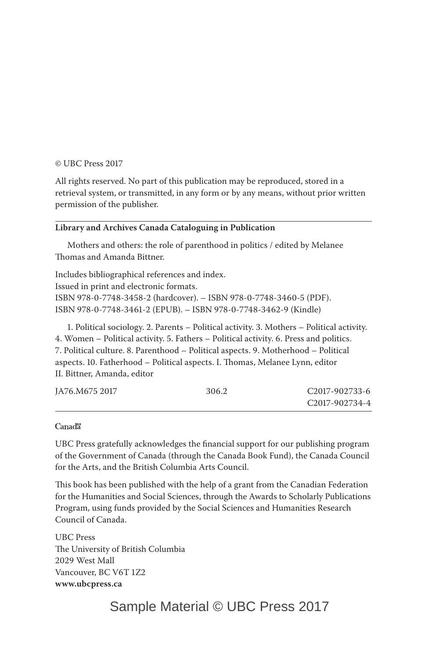#### © UBC Press 2017

All rights reserved. No part of this publication may be reproduced, stored in a retrieval system, or transmitted, in any form or by any means, without prior written permission of the publisher.

#### **Library and Archives Canada Cataloguing in Publication**

Mothers and others: the role of parenthood in politics / edited by Melanee Thomas and Amanda Bittner.

Includes bibliographical references and index. Issued in print and electronic formats. ISBN 978-0-7748-3458-2 (hardcover). – ISBN 978-0-7748-3460-5 (PDF). ISBN 978-0-7748-3461-2 (EPUB). – ISBN 978-0-7748-3462-9 (Kindle)

1. Political sociology. 2. Parents – Political activity. 3. Mothers – Political activity. 4. Women – Political activity. 5. Fathers – Political activity. 6. Press and politics. 7. Political culture. 8. Parenthood – Political aspects. 9. Motherhood – Political aspects. 10. Fatherhood – Political aspects. I. Thomas, Melanee Lynn, editor II. Bittner, Amanda, editor

| JA76.M675 2017 | 306.2 | C <sub>2017</sub> -902733-6 |
|----------------|-------|-----------------------------|
|                |       | C2017-902734-4              |

#### Canada

UBC Press gratefully acknowledges the financial support for our publishing program of the Government of Canada (through the Canada Book Fund), the Canada Council for the Arts, and the British Columbia Arts Council.

This book has been published with the help of a grant from the Canadian Federation for the Humanities and Social Sciences, through the Awards to Scholarly Publications Program, using funds provided by the Social Sciences and Humanities Research Council of Canada.

UBC Press The University of British Columbia 2029 West Mall Vancouver, BC V6T 1Z2 **www.ubcpress.ca**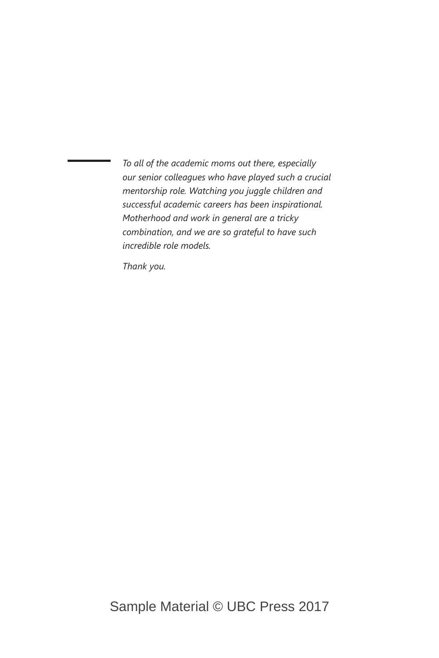*To all of the academic moms out there, especially our senior colleagues who have played such a crucial mentorship role. Watching you juggle children and successful academic careers has been inspirational. Motherhood and work in general are a tricky combination, and we are so grateful to have such incredible role models.*

*Thank you.*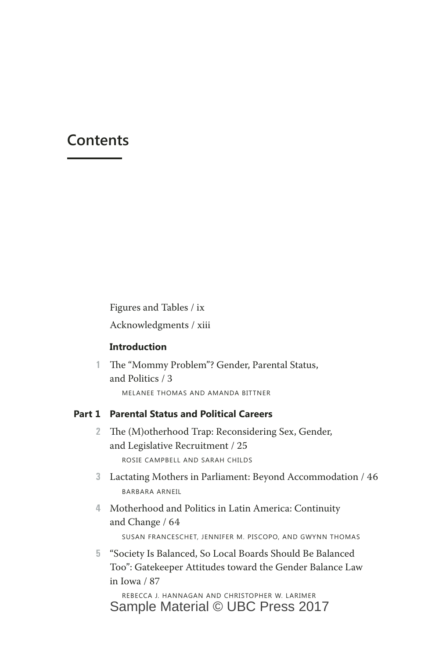### **Contents**

Figures and Tables / ix Acknowledgments / xiii

#### **Introduction**

**1** The "Mommy Problem"? Gender, Parental Status, and Politics / 3 MELANEE THOMAS AND AMANDA BITTNER

#### **Part 1 Parental Status and Political Careers**

- **2** The (M)otherhood Trap: Reconsidering Sex, Gender, and Legislative Recruitment / 25 ROSIE CAMPBELL AND SARAH CHILDS
- **3** Lactating Mothers in Parliament: Beyond Accommodation / 46 BARBARA ARNEIL
- **4** Motherhood and Politics in Latin America: Continuity and Change / 64 SUSAN FRANCESCHET, JENNIFER M. PISCOPO, AND GWYNN THOMAS
- **5** "Society Is Balanced, So Local Boards Should Be Balanced Too": Gatekeeper Attitudes toward the Gender Balance Law in Iowa / 87

REBECCA J. HANNAGAN AND CHRISTOPHER W. LARIMER Sample Material © UBC Press 2017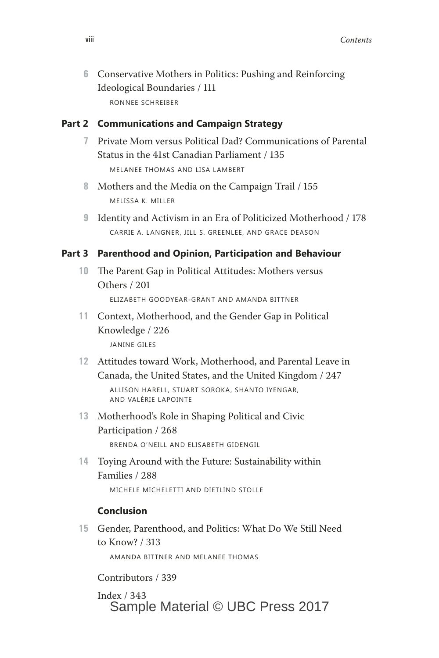**6** Conservative Mothers in Politics: Pushing and Reinforcing Ideological Boundaries / 111 RONNEE SCHREIBER

#### **Part 2 Communications and Campaign Strategy**

- **7** Private Mom versus Political Dad? Communications of Parental Status in the 41st Canadian Parliament / 135 MELANEE THOMAS AND LISA LAMBERT
- **8** Mothers and the Media on the Campaign Trail / 155 MELISSA K. MILLER
- **9** Identity and Activism in an Era of Politicized Motherhood / 178 CARRIE A. LANGNER, JILL S. GREENLEE, AND GRACE DEASON

#### **Part 3 Parenthood and Opinion, Participation and Behaviour**

**10** The Parent Gap in Political Attitudes: Mothers versus Others / 201

ELIZABETH GOODYEAR-GRANT AND AMANDA BITTNER

- **11** Context, Motherhood, and the Gender Gap in Political Knowledge / 226 JANINE GILES
- **12** Attitudes toward Work, Motherhood, and Parental Leave in Canada, the United States, and the United Kingdom / 247

ALLISON HARELL, STUART SOROKA, SHANTO IYENGAR, AND VALÉRIE LAPOINTE

- **13** Motherhood's Role in Shaping Political and Civic Participation / 268 BRENDA O'NEILL AND ELISABETH GIDENGIL
- **14** Toying Around with the Future: Sustainability within Families / 288

MICHELE MICHELETTI AND DIETLIND STOLLE

#### **Conclusion**

**15** Gender, Parenthood, and Politics: What Do We Still Need to Know? / 313 AMANDA BITTNER AND MELANEE THOMAS

Contributors / 339

Index / 343 Sample Material © UBC Press 2017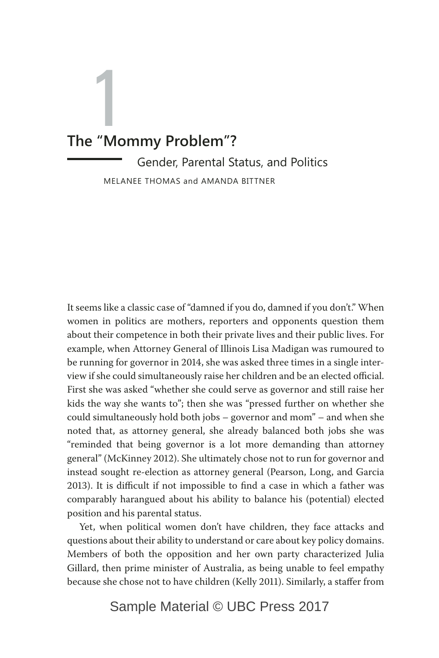# 1 **The "Mommy Problem"?**

Gender, Parental Status, and Politics MELANEE THOMAS and AMANDA BITTNER

It seems like a classic case of "damned if you do, damned if you don't." When women in politics are mothers, reporters and opponents question them about their competence in both their private lives and their public lives. For example, when Attorney General of Illinois Lisa Madigan was rumoured to be running for governor in 2014, she was asked three times in a single interview if she could simultaneously raise her children and be an elected official. First she was asked "whether she could serve as governor and still raise her kids the way she wants to"; then she was "pressed further on whether she could simultaneously hold both jobs – governor and mom" – and when she noted that, as attorney general, she already balanced both jobs she was "reminded that being governor is a lot more demanding than attorney general" (McKinney 2012). She ultimately chose not to run for governor and instead sought re-election as attorney general (Pearson, Long, and Garcia 2013). It is difficult if not impossible to find a case in which a father was comparably harangued about his ability to balance his (potential) elected position and his parental status.

Yet, when political women don't have children, they face attacks and questions about their ability to understand or care about key policy domains. Members of both the opposition and her own party characterized Julia Gillard, then prime minister of Australia, as being unable to feel empathy because she chose not to have children (Kelly 2011). Similarly, a staffer from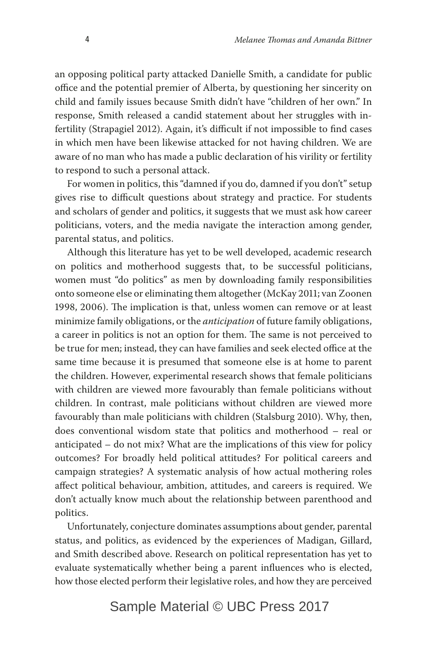an opposing political party attacked Danielle Smith, a candidate for public office and the potential premier of Alberta, by questioning her sincerity on child and family issues because Smith didn't have "children of her own." In response, Smith released a candid statement about her struggles with infertility (Strapagiel 2012). Again, it's difficult if not impossible to find cases in which men have been likewise attacked for not having children. We are aware of no man who has made a public declaration of his virility or fertility to respond to such a personal attack.

For women in politics, this "damned if you do, damned if you don't" setup gives rise to difficult questions about strategy and practice. For students and scholars of gender and politics, it suggests that we must ask how career politicians, voters, and the media navigate the interaction among gender, parental status, and politics.

Although this literature has yet to be well developed, academic research on politics and motherhood suggests that, to be successful politicians, women must "do politics" as men by downloading family responsibilities onto someone else or eliminating them altogether (McKay 2011; van Zoonen 1998, 2006). The implication is that, unless women can remove or at least minimize family obligations, or the *anticipation* of future family obligations, a career in politics is not an option for them. The same is not perceived to be true for men; instead, they can have families and seek elected office at the same time because it is presumed that someone else is at home to parent the children. However, experimental research shows that female politicians with children are viewed more favourably than female politicians without children. In contrast, male politicians without children are viewed more favourably than male politicians with children (Stalsburg 2010). Why, then, does conventional wisdom state that politics and motherhood – real or anticipated – do not mix? What are the implications of this view for policy outcomes? For broadly held political attitudes? For political careers and campaign strategies? A systematic analysis of how actual mothering roles affect political behaviour, ambition, attitudes, and careers is required. We don't actually know much about the relationship between parenthood and politics.

Unfortunately, conjecture dominates assumptions about gender, parental status, and politics, as evidenced by the experiences of Madigan, Gillard, and Smith described above. Research on political representation has yet to evaluate systematically whether being a parent influences who is elected, how those elected perform their legislative roles, and how they are perceived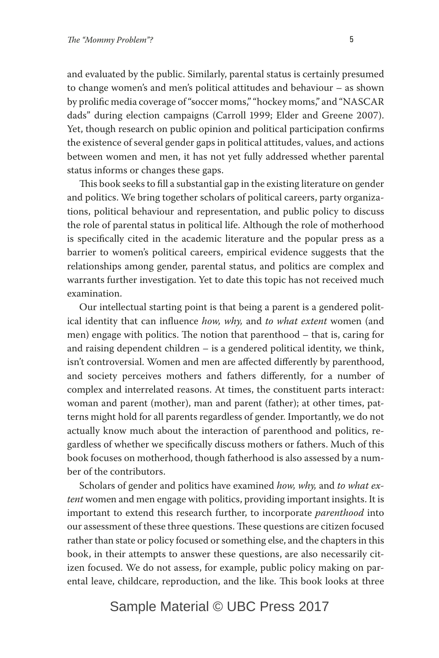and evaluated by the public. Similarly, parental status is certainly presumed to change women's and men's political attitudes and behaviour – as shown by prolific media coverage of "soccer moms," "hockey moms," and "NASCAR dads" during election campaigns (Carroll 1999; Elder and Greene 2007). Yet, though research on public opinion and political participation confirms the existence of several gender gaps in political attitudes, values, and actions between women and men, it has not yet fully addressed whether parental status informs or changes these gaps.

This book seeks to fill a substantial gap in the existing literature on gender and politics. We bring together scholars of political careers, party organizations, political behaviour and representation, and public policy to discuss the role of parental status in political life. Although the role of motherhood is specifically cited in the academic literature and the popular press as a barrier to women's political careers, empirical evidence suggests that the relationships among gender, parental status, and politics are complex and warrants further investigation. Yet to date this topic has not received much examination.

Our intellectual starting point is that being a parent is a gendered political identity that can influence *how, why,* and *to what extent* women (and men) engage with politics. The notion that parenthood – that is, caring for and raising dependent children – is a gendered political identity, we think, isn't controversial. Women and men are affected differently by parenthood, and society perceives mothers and fathers differently, for a number of complex and interrelated reasons. At times, the constituent parts interact: woman and parent (mother), man and parent (father); at other times, patterns might hold for all parents regardless of gender. Importantly, we do not actually know much about the interaction of parenthood and politics, regardless of whether we specifically discuss mothers or fathers. Much of this book focuses on motherhood, though fatherhood is also assessed by a number of the contributors.

Scholars of gender and politics have examined *how, why,* and *to what extent* women and men engage with politics, providing important insights. It is important to extend this research further, to incorporate *parenthood* into our assessment of these three questions. These questions are citizen focused rather than state or policy focused or something else, and the chapters in this book, in their attempts to answer these questions, are also necessarily citizen focused. We do not assess, for example, public policy making on parental leave, childcare, reproduction, and the like. This book looks at three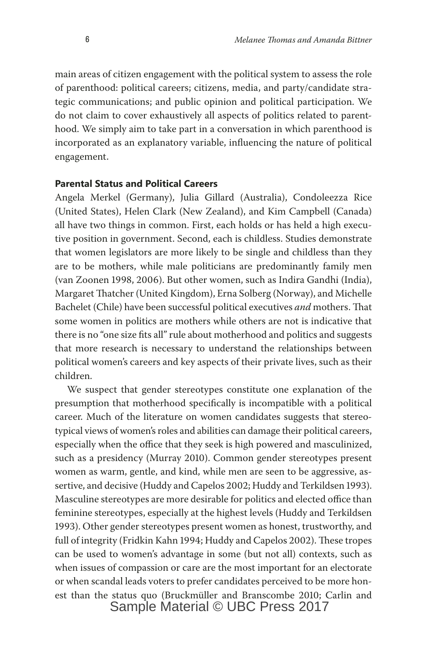main areas of citizen engagement with the political system to assess the role of parenthood: political careers; citizens, media, and party/candidate strategic communications; and public opinion and political participation. We do not claim to cover exhaustively all aspects of politics related to parenthood. We simply aim to take part in a conversation in which parenthood is incorporated as an explanatory variable, influencing the nature of political engagement.

#### **Parental Status and Political Careers**

Angela Merkel (Germany), Julia Gillard (Australia), Condoleezza Rice (United States), Helen Clark (New Zealand), and Kim Campbell (Canada) all have two things in common. First, each holds or has held a high executive position in government. Second, each is childless. Studies demonstrate that women legislators are more likely to be single and childless than they are to be mothers, while male politicians are predominantly family men (van Zoonen 1998, 2006). But other women, such as Indira Gandhi (India), Margaret Thatcher (United Kingdom), Erna Solberg (Norway), and Michelle Bachelet (Chile) have been successful political executives *and* mothers. That some women in politics are mothers while others are not is indicative that there is no "one size fits all" rule about motherhood and politics and suggests that more research is necessary to understand the relationships between political women's careers and key aspects of their private lives, such as their children.

We suspect that gender stereotypes constitute one explanation of the presumption that motherhood specifically is incompatible with a political career. Much of the literature on women candidates suggests that stereotypical views of women's roles and abilities can damage their political careers, especially when the office that they seek is high powered and masculinized, such as a presidency (Murray 2010). Common gender stereotypes present women as warm, gentle, and kind, while men are seen to be aggressive, assertive, and decisive (Huddy and Capelos 2002; Huddy and Terkildsen 1993). Masculine stereotypes are more desirable for politics and elected office than feminine stereotypes, especially at the highest levels (Huddy and Terkildsen 1993). Other gender stereotypes present women as honest, trustworthy, and full of integrity (Fridkin Kahn 1994; Huddy and Capelos 2002). These tropes can be used to women's advantage in some (but not all) contexts, such as when issues of compassion or care are the most important for an electorate or when scandal leads voters to prefer candidates perceived to be more honest than the status quo (Bruckmüller and Branscombe 2010; Carlin and Sample Material © UBC Press 2017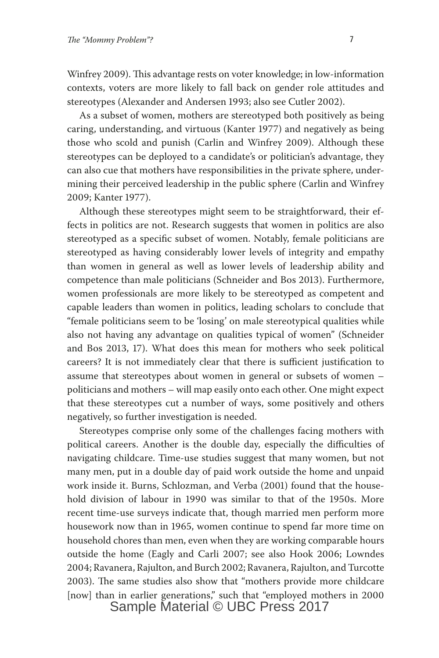Winfrey 2009). This advantage rests on voter knowledge; in low-information contexts, voters are more likely to fall back on gender role attitudes and stereotypes (Alexander and Andersen 1993; also see Cutler 2002).

As a subset of women, mothers are stereotyped both positively as being caring, understanding, and virtuous (Kanter 1977) and negatively as being those who scold and punish (Carlin and Winfrey 2009). Although these stereotypes can be deployed to a candidate's or politician's advantage, they can also cue that mothers have responsibilities in the private sphere, undermining their perceived leadership in the public sphere (Carlin and Winfrey 2009; Kanter 1977).

Although these stereotypes might seem to be straightforward, their effects in politics are not. Research suggests that women in politics are also stereotyped as a specific subset of women. Notably, female politicians are stereotyped as having considerably lower levels of integrity and empathy than women in general as well as lower levels of leadership ability and competence than male politicians (Schneider and Bos 2013). Furthermore, women professionals are more likely to be stereotyped as competent and capable leaders than women in politics, leading scholars to conclude that "female politicians seem to be 'losing' on male stereotypical qualities while also not having any advantage on qualities typical of women" (Schneider and Bos 2013, 17). What does this mean for mothers who seek political careers? It is not immediately clear that there is sufficient justification to assume that stereotypes about women in general or subsets of women – politicians and mothers – will map easily onto each other. One might expect that these stereotypes cut a number of ways, some positively and others negatively, so further investigation is needed.

Stereotypes comprise only some of the challenges facing mothers with political careers. Another is the double day, especially the difficulties of navigating childcare. Time-use studies suggest that many women, but not many men, put in a double day of paid work outside the home and unpaid work inside it. Burns, Schlozman, and Verba (2001) found that the household division of labour in 1990 was similar to that of the 1950s. More recent time-use surveys indicate that, though married men perform more housework now than in 1965, women continue to spend far more time on household chores than men, even when they are working comparable hours outside the home (Eagly and Carli 2007; see also Hook 2006; Lowndes 2004; Ravanera, Rajulton, and Burch 2002; Ravanera, Rajulton, and Turcotte 2003). The same studies also show that "mothers provide more childcare [now] than in earlier generations," such that "employed mothers in 2000 Sample Material © UBC Press 2017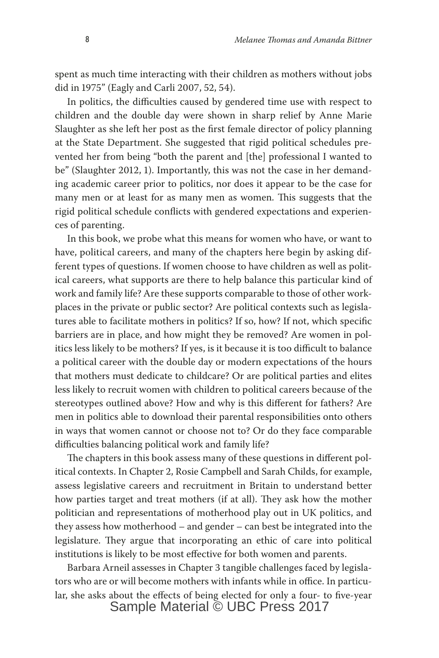spent as much time interacting with their children as mothers without jobs did in 1975" (Eagly and Carli 2007, 52, 54).

In politics, the difficulties caused by gendered time use with respect to children and the double day were shown in sharp relief by Anne Marie Slaughter as she left her post as the first female director of policy planning at the State Department. She suggested that rigid political schedules prevented her from being "both the parent and [the] professional I wanted to be" (Slaughter 2012, 1). Importantly, this was not the case in her demanding academic career prior to politics, nor does it appear to be the case for many men or at least for as many men as women. This suggests that the rigid political schedule conflicts with gendered expectations and experiences of parenting.

In this book, we probe what this means for women who have, or want to have, political careers, and many of the chapters here begin by asking different types of questions. If women choose to have children as well as political careers, what supports are there to help balance this particular kind of work and family life? Are these supports comparable to those of other workplaces in the private or public sector? Are political contexts such as legislatures able to facilitate mothers in politics? If so, how? If not, which specific barriers are in place, and how might they be removed? Are women in politics less likely to be mothers? If yes, is it because it is too difficult to balance a political career with the double day or modern expectations of the hours that mothers must dedicate to childcare? Or are political parties and elites less likely to recruit women with children to political careers because of the stereotypes outlined above? How and why is this different for fathers? Are men in politics able to download their parental responsibilities onto others in ways that women cannot or choose not to? Or do they face comparable difficulties balancing political work and family life?

The chapters in this book assess many of these questions in different political contexts. In Chapter 2, Rosie Campbell and Sarah Childs, for example, assess legislative careers and recruitment in Britain to understand better how parties target and treat mothers (if at all). They ask how the mother politician and representations of motherhood play out in UK politics, and they assess how motherhood – and gender – can best be integrated into the legislature. They argue that incorporating an ethic of care into political institutions is likely to be most effective for both women and parents.

Barbara Arneil assesses in Chapter 3 tangible challenges faced by legislators who are or will become mothers with infants while in office. In particular, she asks about the effects of being elected for only a four- to five-year Sample Material © UBC Press 2017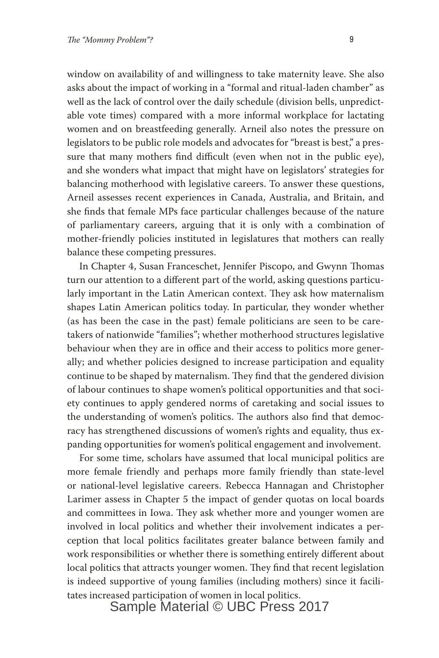window on availability of and willingness to take maternity leave. She also asks about the impact of working in a "formal and ritual-laden chamber" as well as the lack of control over the daily schedule (division bells, unpredictable vote times) compared with a more informal workplace for lactating women and on breastfeeding generally. Arneil also notes the pressure on legislators to be public role models and advocates for "breast is best," a pressure that many mothers find difficult (even when not in the public eye), and she wonders what impact that might have on legislators' strategies for balancing motherhood with legislative careers. To answer these questions, Arneil assesses recent experiences in Canada, Australia, and Britain, and she finds that female MPs face particular challenges because of the nature of parliamentary careers, arguing that it is only with a combination of mother-friendly policies instituted in legislatures that mothers can really balance these competing pressures.

In Chapter 4, Susan Franceschet, Jennifer Piscopo, and Gwynn Thomas turn our attention to a different part of the world, asking questions particularly important in the Latin American context. They ask how maternalism shapes Latin American politics today. In particular, they wonder whether (as has been the case in the past) female politicians are seen to be caretakers of nationwide "families"; whether motherhood structures legislative behaviour when they are in office and their access to politics more generally; and whether policies designed to increase participation and equality continue to be shaped by maternalism. They find that the gendered division of labour continues to shape women's political opportunities and that society continues to apply gendered norms of caretaking and social issues to the understanding of women's politics. The authors also find that democracy has strengthened discussions of women's rights and equality, thus expanding opportunities for women's political engagement and involvement.

For some time, scholars have assumed that local municipal politics are more female friendly and perhaps more family friendly than state-level or national-level legislative careers. Rebecca Hannagan and Christopher Larimer assess in Chapter 5 the impact of gender quotas on local boards and committees in Iowa. They ask whether more and younger women are involved in local politics and whether their involvement indicates a perception that local politics facilitates greater balance between family and work responsibilities or whether there is something entirely different about local politics that attracts younger women. They find that recent legislation is indeed supportive of young families (including mothers) since it facilitates increased participation of women in local politics.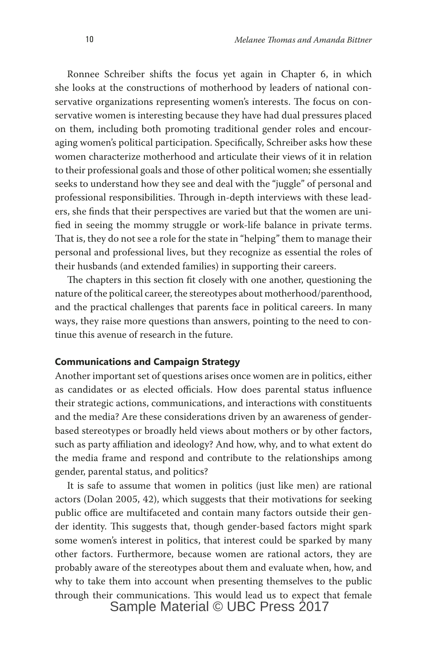Ronnee Schreiber shifts the focus yet again in Chapter 6, in which she looks at the constructions of motherhood by leaders of national conservative organizations representing women's interests. The focus on conservative women is interesting because they have had dual pressures placed on them, including both promoting traditional gender roles and encouraging women's political participation. Specifically, Schreiber asks how these women characterize motherhood and articulate their views of it in relation to their professional goals and those of other political women; she essentially seeks to understand how they see and deal with the "juggle" of personal and professional responsibilities. Through in-depth interviews with these leaders, she finds that their perspectives are varied but that the women are unified in seeing the mommy struggle or work-life balance in private terms. That is, they do not see a role for the state in "helping" them to manage their personal and professional lives, but they recognize as essential the roles of their husbands (and extended families) in supporting their careers.

The chapters in this section fit closely with one another, questioning the nature of the political career, the stereotypes about motherhood/parenthood, and the practical challenges that parents face in political careers. In many ways, they raise more questions than answers, pointing to the need to continue this avenue of research in the future.

#### **Communications and Campaign Strategy**

Another important set of questions arises once women are in politics, either as candidates or as elected officials. How does parental status influence their strategic actions, communications, and interactions with constituents and the media? Are these considerations driven by an awareness of genderbased stereotypes or broadly held views about mothers or by other factors, such as party affiliation and ideology? And how, why, and to what extent do the media frame and respond and contribute to the relationships among gender, parental status, and politics?

It is safe to assume that women in politics (just like men) are rational actors (Dolan 2005, 42), which suggests that their motivations for seeking public office are multifaceted and contain many factors outside their gender identity. This suggests that, though gender-based factors might spark some women's interest in politics, that interest could be sparked by many other factors. Furthermore, because women are rational actors, they are probably aware of the stereotypes about them and evaluate when, how, and why to take them into account when presenting themselves to the public through their communications. This would lead us to expect that female Sample Material © UBC Press 2017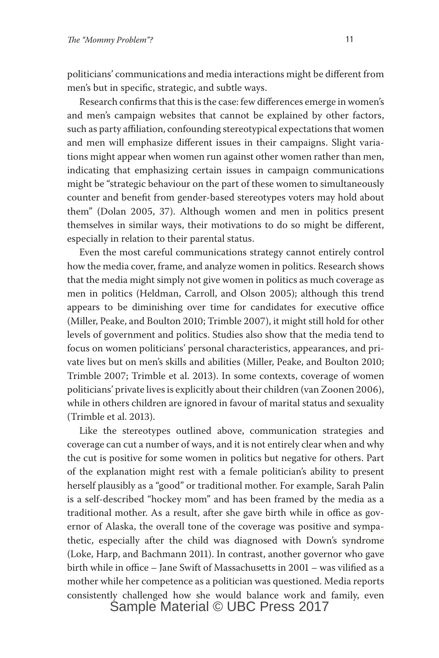politicians' communications and media interactions might be different from men's but in specific, strategic, and subtle ways.

Research confirms that this is the case: few differences emerge in women's and men's campaign websites that cannot be explained by other factors, such as party affiliation, confounding stereotypical expectations that women and men will emphasize different issues in their campaigns. Slight variations might appear when women run against other women rather than men, indicating that emphasizing certain issues in campaign communications might be "strategic behaviour on the part of these women to simultaneously counter and benefit from gender-based stereotypes voters may hold about them" (Dolan 2005, 37). Although women and men in politics present themselves in similar ways, their motivations to do so might be different, especially in relation to their parental status.

Even the most careful communications strategy cannot entirely control how the media cover, frame, and analyze women in politics. Research shows that the media might simply not give women in politics as much coverage as men in politics (Heldman, Carroll, and Olson 2005); although this trend appears to be diminishing over time for candidates for executive office (Miller, Peake, and Boulton 2010; Trimble 2007), it might still hold for other levels of government and politics. Studies also show that the media tend to focus on women politicians' personal characteristics, appearances, and private lives but on men's skills and abilities (Miller, Peake, and Boulton 2010; Trimble 2007; Trimble et al. 2013). In some contexts, coverage of women politicians' private lives is explicitly about their children (van Zoonen 2006), while in others children are ignored in favour of marital status and sexuality (Trimble et al. 2013).

Like the stereotypes outlined above, communication strategies and coverage can cut a number of ways, and it is not entirely clear when and why the cut is positive for some women in politics but negative for others. Part of the explanation might rest with a female politician's ability to present herself plausibly as a "good" or traditional mother. For example, Sarah Palin is a self-described "hockey mom" and has been framed by the media as a traditional mother. As a result, after she gave birth while in office as governor of Alaska, the overall tone of the coverage was positive and sympathetic, especially after the child was diagnosed with Down's syndrome (Loke, Harp, and Bachmann 2011). In contrast, another governor who gave birth while in office – Jane Swift of Massachusetts in 2001 – was vilified as a mother while her competence as a politician was questioned. Media reports consistently challenged how she would balance work and family, even Sample Material © UBC Press 2017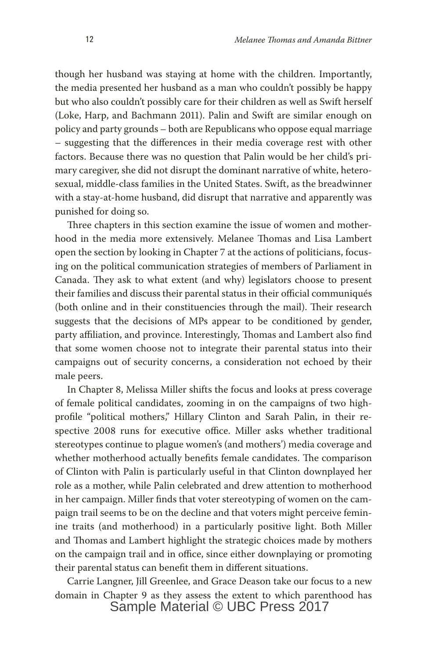though her husband was staying at home with the children. Importantly, the media presented her husband as a man who couldn't possibly be happy but who also couldn't possibly care for their children as well as Swift herself (Loke, Harp, and Bachmann 2011). Palin and Swift are similar enough on policy and party grounds – both are Republicans who oppose equal marriage – suggesting that the differences in their media coverage rest with other factors. Because there was no question that Palin would be her child's primary caregiver, she did not disrupt the dominant narrative of white, heterosexual, middle-class families in the United States. Swift, as the breadwinner with a stay-at-home husband, did disrupt that narrative and apparently was punished for doing so.

Three chapters in this section examine the issue of women and motherhood in the media more extensively. Melanee Thomas and Lisa Lambert open the section by looking in Chapter 7 at the actions of politicians, focusing on the political communication strategies of members of Parliament in Canada. They ask to what extent (and why) legislators choose to present their families and discuss their parental status in their official communiqués (both online and in their constituencies through the mail). Their research suggests that the decisions of MPs appear to be conditioned by gender, party affiliation, and province. Interestingly, Thomas and Lambert also find that some women choose not to integrate their parental status into their campaigns out of security concerns, a consideration not echoed by their male peers.

In Chapter 8, Melissa Miller shifts the focus and looks at press coverage of female political candidates, zooming in on the campaigns of two highprofile "political mothers," Hillary Clinton and Sarah Palin, in their respective 2008 runs for executive office. Miller asks whether traditional stereotypes continue to plague women's (and mothers') media coverage and whether motherhood actually benefits female candidates. The comparison of Clinton with Palin is particularly useful in that Clinton downplayed her role as a mother, while Palin celebrated and drew attention to motherhood in her campaign. Miller finds that voter stereotyping of women on the campaign trail seems to be on the decline and that voters might perceive feminine traits (and motherhood) in a particularly positive light. Both Miller and Thomas and Lambert highlight the strategic choices made by mothers on the campaign trail and in office, since either downplaying or promoting their parental status can benefit them in different situations.

Carrie Langner, Jill Greenlee, and Grace Deason take our focus to a new domain in Chapter 9 as they assess the extent to which parenthood has Sample Material © UBC Press 2017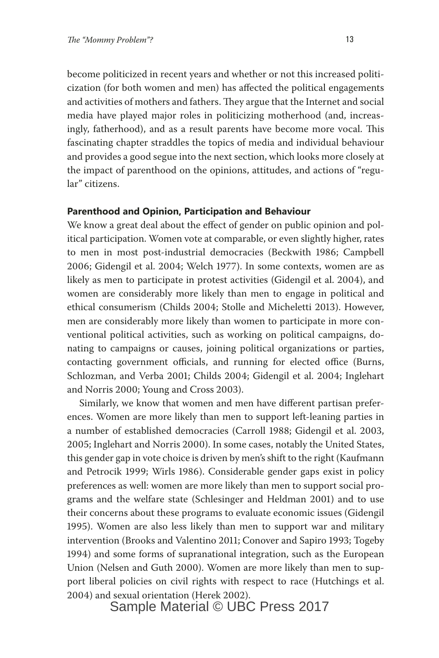become politicized in recent years and whether or not this increased politicization (for both women and men) has affected the political engagements and activities of mothers and fathers. They argue that the Internet and social media have played major roles in politicizing motherhood (and, increasingly, fatherhood), and as a result parents have become more vocal. This fascinating chapter straddles the topics of media and individual behaviour and provides a good segue into the next section, which looks more closely at the impact of parenthood on the opinions, attitudes, and actions of "regular" citizens.

#### **Parenthood and Opinion, Participation and Behaviour**

We know a great deal about the effect of gender on public opinion and political participation. Women vote at comparable, or even slightly higher, rates to men in most post-industrial democracies (Beckwith 1986; Campbell 2006; Gidengil et al. 2004; Welch 1977). In some contexts, women are as likely as men to participate in protest activities (Gidengil et al. 2004), and women are considerably more likely than men to engage in political and ethical consumerism (Childs 2004; Stolle and Micheletti 2013). However, men are considerably more likely than women to participate in more conventional political activities, such as working on political campaigns, donating to campaigns or causes, joining political organizations or parties, contacting government officials, and running for elected office (Burns, Schlozman, and Verba 2001; Childs 2004; Gidengil et al. 2004; Inglehart and Norris 2000; Young and Cross 2003).

Similarly, we know that women and men have different partisan preferences. Women are more likely than men to support left-leaning parties in a number of established democracies (Carroll 1988; Gidengil et al. 2003, 2005; Inglehart and Norris 2000). In some cases, notably the United States, this gender gap in vote choice is driven by men's shift to the right (Kaufmann and Petrocik 1999; Wirls 1986). Considerable gender gaps exist in policy preferences as well: women are more likely than men to support social programs and the welfare state (Schlesinger and Heldman 2001) and to use their concerns about these programs to evaluate economic issues (Gidengil 1995). Women are also less likely than men to support war and military intervention (Brooks and Valentino 2011; Conover and Sapiro 1993; Togeby 1994) and some forms of supranational integration, such as the European Union (Nelsen and Guth 2000). Women are more likely than men to support liberal policies on civil rights with respect to race (Hutchings et al. 2004) and sexual orientation (Herek 2002).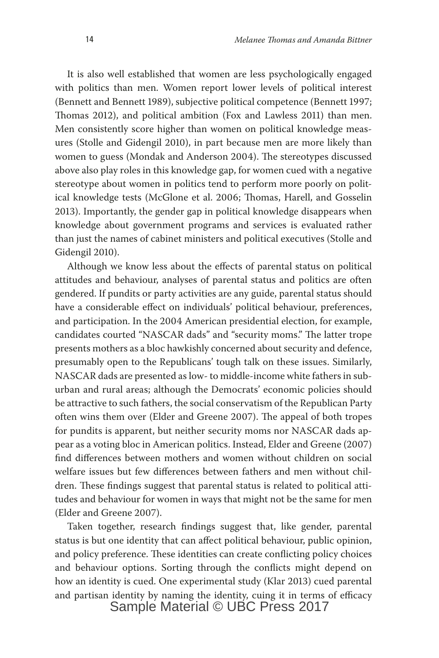It is also well established that women are less psychologically engaged with politics than men. Women report lower levels of political interest (Bennett and Bennett 1989), subjective political competence (Bennett 1997; Thomas 2012), and political ambition (Fox and Lawless 2011) than men. Men consistently score higher than women on political knowledge measures (Stolle and Gidengil 2010), in part because men are more likely than women to guess (Mondak and Anderson 2004). The stereotypes discussed above also play roles in this knowledge gap, for women cued with a negative stereotype about women in politics tend to perform more poorly on political knowledge tests (McGlone et al. 2006; Thomas, Harell, and Gosselin 2013). Importantly, the gender gap in political knowledge disappears when knowledge about government programs and services is evaluated rather than just the names of cabinet ministers and political executives (Stolle and Gidengil 2010).

Although we know less about the effects of parental status on political attitudes and behaviour, analyses of parental status and politics are often gendered. If pundits or party activities are any guide, parental status should have a considerable effect on individuals' political behaviour, preferences, and participation. In the 2004 American presidential election, for example, candidates courted "NASCAR dads" and "security moms." The latter trope presents mothers as a bloc hawkishly concerned about security and defence, presumably open to the Republicans' tough talk on these issues. Similarly, NASCAR dads are presented as low- to middle-income white fathers in suburban and rural areas; although the Democrats' economic policies should be attractive to such fathers, the social conservatism of the Republican Party often wins them over (Elder and Greene 2007). The appeal of both tropes for pundits is apparent, but neither security moms nor NASCAR dads appear as a voting bloc in American politics. Instead, Elder and Greene (2007) find differences between mothers and women without children on social welfare issues but few differences between fathers and men without children. These findings suggest that parental status is related to political attitudes and behaviour for women in ways that might not be the same for men (Elder and Greene 2007).

Taken together, research findings suggest that, like gender, parental status is but one identity that can affect political behaviour, public opinion, and policy preference. These identities can create conflicting policy choices and behaviour options. Sorting through the conflicts might depend on how an identity is cued. One experimental study (Klar 2013) cued parental and partisan identity by naming the identity, cuing it in terms of efficacy Sample Material © UBC Press 2017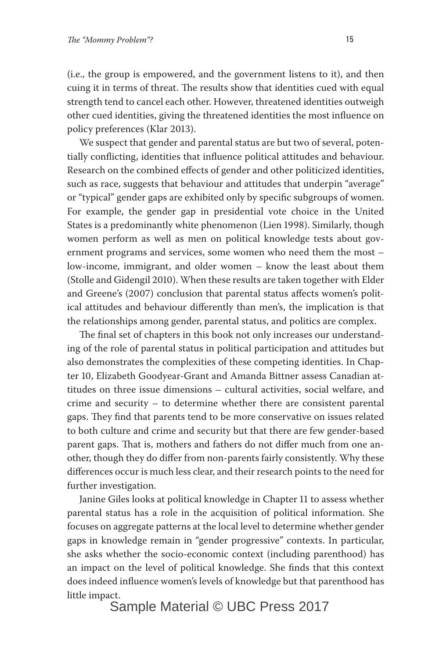(i.e., the group is empowered, and the government listens to it), and then cuing it in terms of threat. The results show that identities cued with equal strength tend to cancel each other. However, threatened identities outweigh other cued identities, giving the threatened identities the most influence on policy preferences (Klar 2013).

We suspect that gender and parental status are but two of several, potentially conflicting, identities that influence political attitudes and behaviour. Research on the combined effects of gender and other politicized identities, such as race, suggests that behaviour and attitudes that underpin "average" or "typical" gender gaps are exhibited only by specific subgroups of women. For example, the gender gap in presidential vote choice in the United States is a predominantly white phenomenon (Lien 1998). Similarly, though women perform as well as men on political knowledge tests about government programs and services, some women who need them the most – low-income, immigrant, and older women – know the least about them (Stolle and Gidengil 2010). When these results are taken together with Elder and Greene's (2007) conclusion that parental status affects women's political attitudes and behaviour differently than men's, the implication is that the relationships among gender, parental status, and politics are complex.

The final set of chapters in this book not only increases our understanding of the role of parental status in political participation and attitudes but also demonstrates the complexities of these competing identities. In Chapter 10, Elizabeth Goodyear-Grant and Amanda Bittner assess Canadian attitudes on three issue dimensions – cultural activities, social welfare, and crime and security – to determine whether there are consistent parental gaps. They find that parents tend to be more conservative on issues related to both culture and crime and security but that there are few gender-based parent gaps. That is, mothers and fathers do not differ much from one another, though they do differ from non-parents fairly consistently. Why these differences occur is much less clear, and their research points to the need for further investigation.

Janine Giles looks at political knowledge in Chapter 11 to assess whether parental status has a role in the acquisition of political information. She focuses on aggregate patterns at the local level to determine whether gender gaps in knowledge remain in "gender progressive" contexts. In particular, she asks whether the socio-economic context (including parenthood) has an impact on the level of political knowledge. She finds that this context does indeed influence women's levels of knowledge but that parenthood has little impact.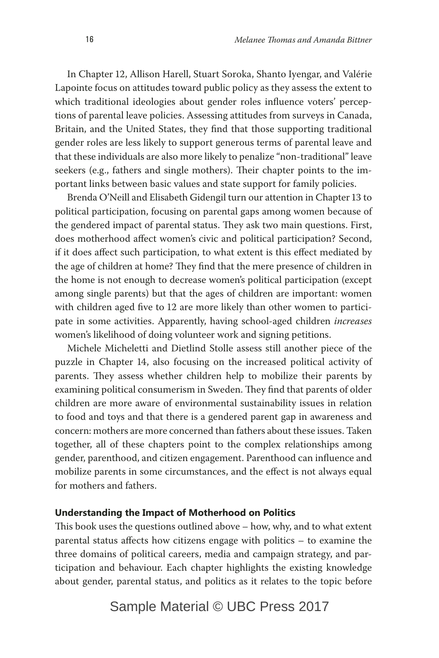In Chapter 12, Allison Harell, Stuart Soroka, Shanto Iyengar, and Valérie Lapointe focus on attitudes toward public policy as they assess the extent to which traditional ideologies about gender roles influence voters' perceptions of parental leave policies. Assessing attitudes from surveys in Canada, Britain, and the United States, they find that those supporting traditional gender roles are less likely to support generous terms of parental leave and that these individuals are also more likely to penalize "non-traditional" leave seekers (e.g., fathers and single mothers). Their chapter points to the important links between basic values and state support for family policies.

Brenda O'Neill and Elisabeth Gidengil turn our attention in Chapter 13 to political participation, focusing on parental gaps among women because of the gendered impact of parental status. They ask two main questions. First, does motherhood affect women's civic and political participation? Second, if it does affect such participation, to what extent is this effect mediated by the age of children at home? They find that the mere presence of children in the home is not enough to decrease women's political participation (except among single parents) but that the ages of children are important: women with children aged five to 12 are more likely than other women to participate in some activities. Apparently, having school-aged children *increases* women's likelihood of doing volunteer work and signing petitions.

Michele Micheletti and Dietlind Stolle assess still another piece of the puzzle in Chapter 14, also focusing on the increased political activity of parents. They assess whether children help to mobilize their parents by examining political consumerism in Sweden. They find that parents of older children are more aware of environmental sustainability issues in relation to food and toys and that there is a gendered parent gap in awareness and concern: mothers are more concerned than fathers about these issues. Taken together, all of these chapters point to the complex relationships among gender, parenthood, and citizen engagement. Parenthood can influence and mobilize parents in some circumstances, and the effect is not always equal for mothers and fathers.

#### **Understanding the Impact of Motherhood on Politics**

This book uses the questions outlined above – how, why, and to what extent parental status affects how citizens engage with politics – to examine the three domains of political careers, media and campaign strategy, and participation and behaviour. Each chapter highlights the existing knowledge about gender, parental status, and politics as it relates to the topic before